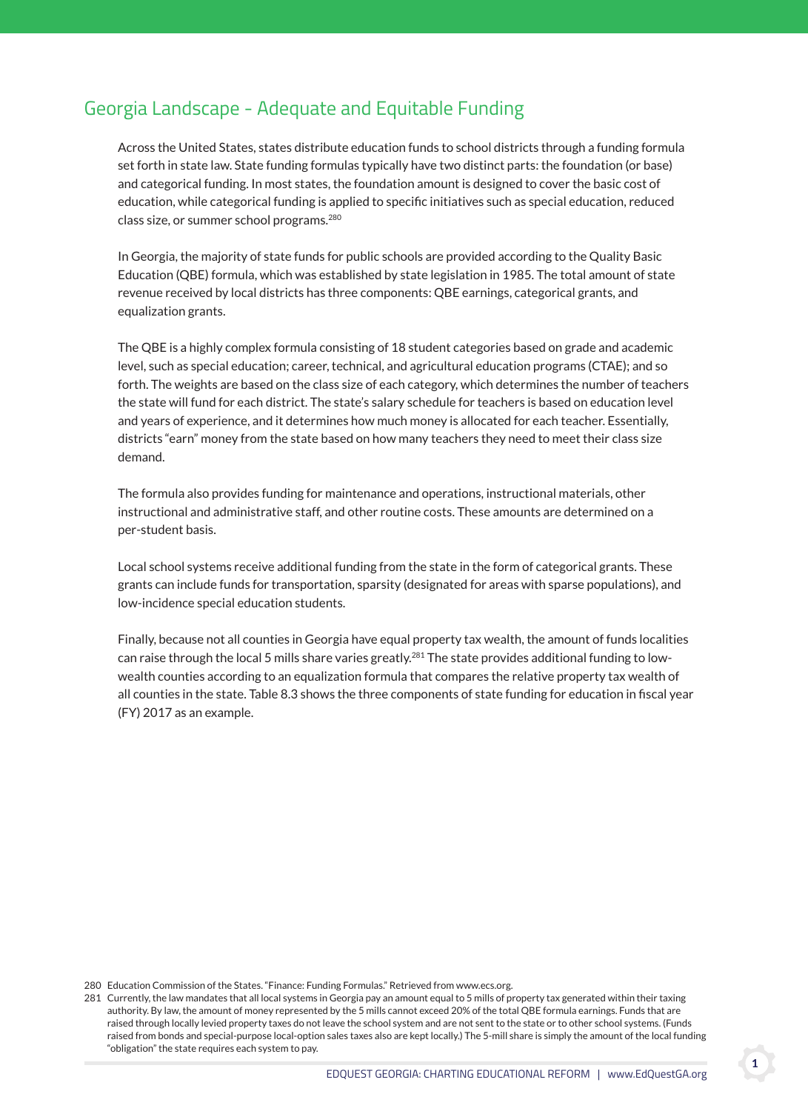## Georgia Landscape - Adequate and Equitable Funding

 Across the United States, states distribute education funds to school districts through a funding formula set forth in state law. State funding formulas typically have two distinct parts: the foundation (or base) and categorical funding. In most states, the foundation amount is designed to cover the basic cost of education, while categorical funding is applied to specific initiatives such as special education, reduced class size, or summer school programs.<sup>280</sup>

 In Georgia, the majority of state funds for public schools are provided according to the Quality Basic Education (QBE) formula, which was established by state legislation in 1985. The total amount of state revenue received by local districts has three components: QBE earnings, categorical grants, and equalization grants.

 The QBE is a highly complex formula consisting of 18 student categories based on grade and academic level, such as special education; career, technical, and agricultural education programs (CTAE); and so forth. The weights are based on the class size of each category, which determines the number of teachers the state will fund for each district. The state's salary schedule for teachers is based on education level and years of experience, and it determines how much money is allocated for each teacher. Essentially, districts "earn" money from the state based on how many teachers they need to meet their class size demand.

 The formula also provides funding for maintenance and operations, instructional materials, other instructional and administrative staff, and other routine costs. These amounts are determined on a per-student basis.

 Local school systems receive additional funding from the state in the form of categorical grants. These grants can include funds for transportation, sparsity (designated for areas with sparse populations), and low-incidence special education students.

 Finally, because not all counties in Georgia have equal property tax wealth, the amount of funds localities can raise through the local 5 mills share varies greatly.<sup>281</sup> The state provides additional funding to lowwealth counties according to an equalization formula that compares the relative property tax wealth of all counties in the state. Table 8.3 shows the three components of state funding for education in fiscal year (FY) 2017 as an example.

280 Education Commission of the States. "Finance: Funding Formulas." Retrieved from www.ecs.org.

1

<sup>281</sup> Currently, the law mandates that all local systems in Georgia pay an amount equal to 5 mills of property tax generated within their taxing authority. By law, the amount of money represented by the 5 mills cannot exceed 20% of the total QBE formula earnings. Funds that are raised through locally levied property taxes do not leave the school system and are not sent to the state or to other school systems. (Funds raised from bonds and special-purpose local-option sales taxes also are kept locally.) The 5-mill share is simply the amount of the local funding "obligation" the state requires each system to pay.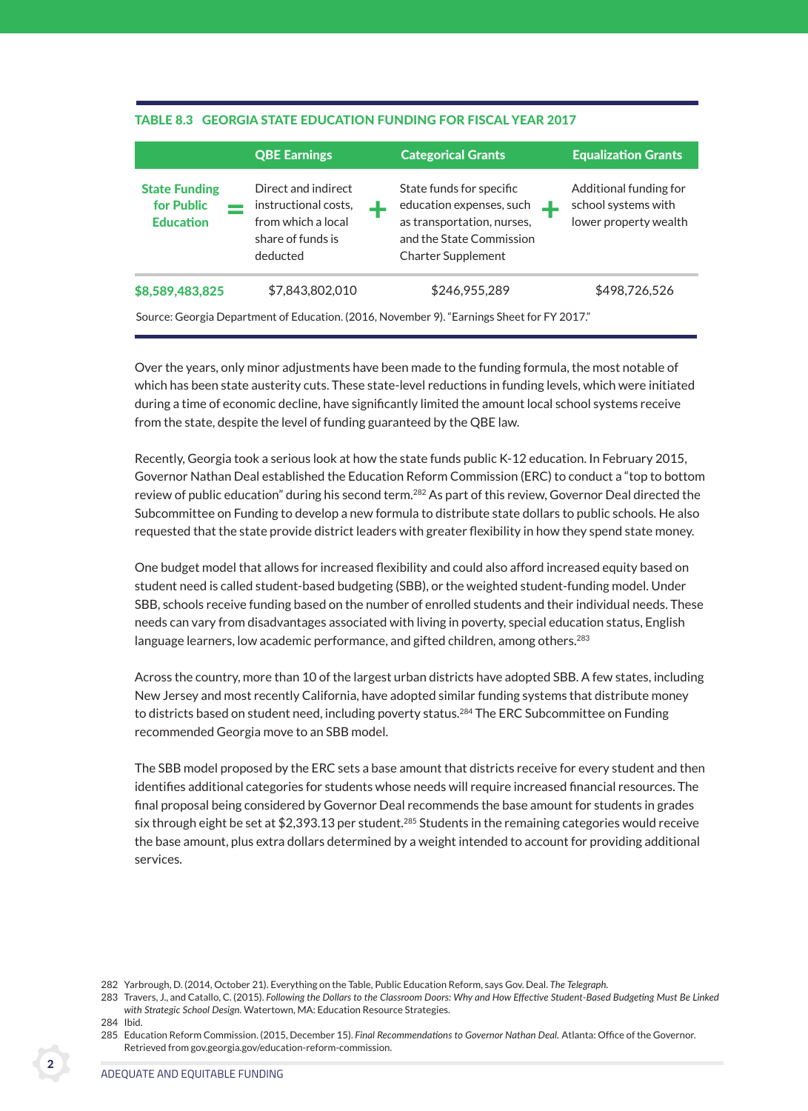## Table 8.3 georgia sTaTe educaTion Funding For Fiscal year 2017

|                                                                                            | <b>QBE Earnings</b>                                                                                |  | <b>Categorical Grants</b>                                                                                                                   |  | <b>Equalization Grants</b>                                             |
|--------------------------------------------------------------------------------------------|----------------------------------------------------------------------------------------------------|--|---------------------------------------------------------------------------------------------------------------------------------------------|--|------------------------------------------------------------------------|
| <b>State Funding</b><br>for Public<br><b>Education</b>                                     | Direct and indirect<br>instructional costs,<br>from which a local<br>share of funds is<br>deducted |  | State funds for specific<br>education expenses, such<br>as transportation, nurses,<br>and the State Commission<br><b>Charter Supplement</b> |  | Additional funding for<br>school systems with<br>lower property wealth |
| \$8,589,483,825                                                                            | \$7,843,802,010                                                                                    |  | \$246,955,289                                                                                                                               |  | \$498,726,526                                                          |
| Source: Georgia Department of Education. (2016, November 9). "Earnings Sheet for FY 2017." |                                                                                                    |  |                                                                                                                                             |  |                                                                        |

 Over the years, only minor adjustments have been made to the funding formula, the most notable of which has been state austerity cuts. These state-level reductions in funding levels, which were initiated during a time of economic decline, have significantly limited the amount local school systems receive from the state, despite the level of funding guaranteed by the QBE law.

 Recently, Georgia took a serious look at how the state funds public K-12 education. In February 2015, Governor Nathan Deal established the Education Reform Commission (ERC) to conduct a "top to bottom review of public education" during his second term.<sup>282</sup> As part of this review, Governor Deal directed the Subcommittee on Funding to develop a new formula to distribute state dollars to public schools. He also requested that the state provide district leaders with greater flexibility in how they spend state money.

 One budget model that allows for increased flexibility and could also afford increased equity based on student need is called student-based budgeting (SBB), or the weighted student-funding model. Under SBB, schools receive funding based on the number of enrolled students and their individual needs. These needs can vary from disadvantages associated with living in poverty, special education status, English language learners, low academic performance, and gifted children, among others.<sup>283</sup>

 Across the country, more than 10 of the largest urban districts have adopted SBB. A few states, including New Jersey and most recently California, have adopted similar funding systems that distribute money to districts based on student need, including poverty status.<sup>284</sup> The ERC Subcommittee on Funding recommended Georgia move to an SBB model.

 The SBB model proposed by the ERC sets a base amount that districts receive for every student and then identifies additional categories for students whose needs will require increased financial resources. The final proposal being considered by Governor Deal recommends the base amount for students in grades six through eight be set at \$2,393.13 per student.<sup>285</sup> Students in the remaining categories would receive the base amount, plus extra dollars determined by a weight intended to account for providing additional services.

<sup>282</sup> Yarbrough, D. (2014, October 21). Everything on the Table, Public Education Reform, says Gov. Deal. *The Telegraph.*

<sup>283</sup> Travers, J., and Catallo, C. (2015). *Following the Dollars to the Classroom Doors: Why and How Effective Student-Based Budgeting Must Be Linked with Strategic School Design.* Watertown, MA: Education Resource Strategies.

<sup>284</sup> Ibid.

<sup>285</sup> Education Reform Commission. (2015, December 15). *Final Recommendations to Governor Nathan Deal.* Atlanta: Office of the Governor. Retrieved from gov.georgia.gov/education-reform-commission.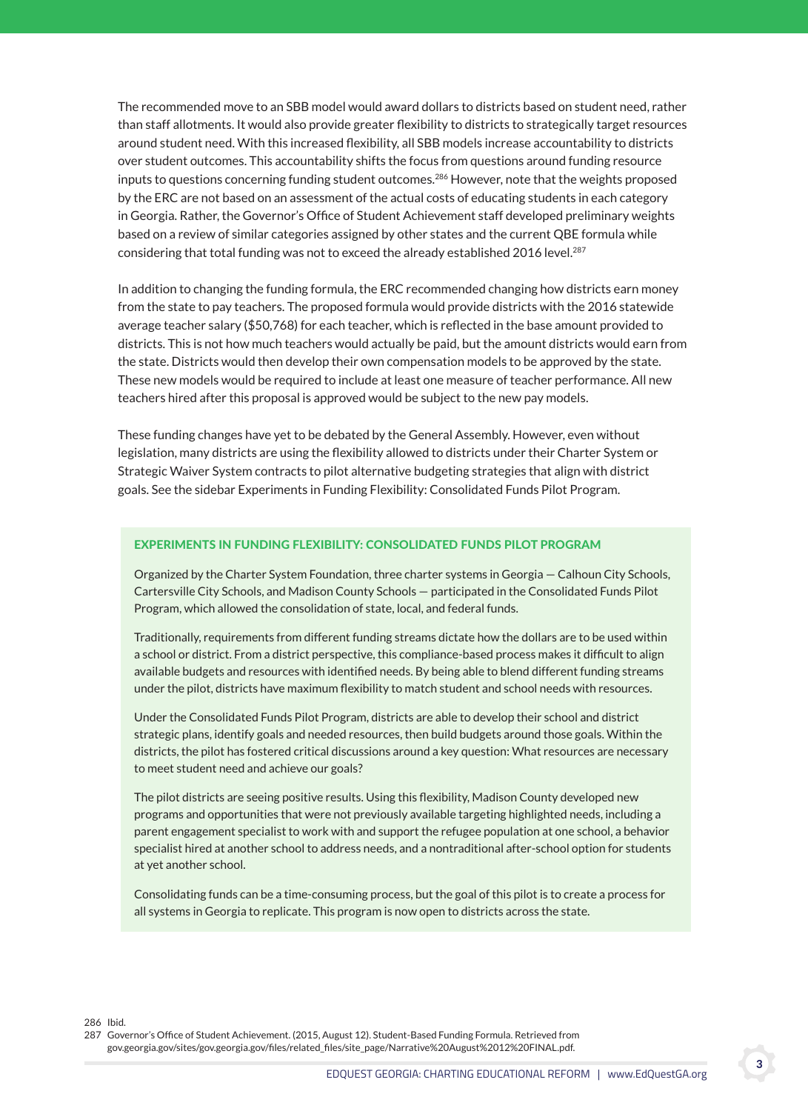The recommended move to an SBB model would award dollars to districts based on student need, rather than staff allotments. It would also provide greater flexibility to districts to strategically target resources around student need. With this increased flexibility, all SBB models increase accountability to districts over student outcomes. This accountability shifts the focus from questions around funding resource inputs to questions concerning funding student outcomes.<sup>286</sup> However, note that the weights proposed by the ERC are not based on an assessment of the actual costs of educating students in each category in Georgia. Rather, the Governor's Office of Student Achievement staff developed preliminary weights based on a review of similar categories assigned by other states and the current QBE formula while considering that total funding was not to exceed the already established 2016 level.<sup>287</sup>

 In addition to changing the funding formula, the ERC recommended changing how districts earn money from the state to pay teachers. The proposed formula would provide districts with the 2016 statewide average teacher salary (\$50,768) for each teacher, which is reflected in the base amount provided to districts. This is not how much teachers would actually be paid, but the amount districts would earn from the state. Districts would then develop their own compensation models to be approved by the state. These new models would be required to include at least one measure of teacher performance. All new teachers hired after this proposal is approved would be subject to the new pay models.

 These funding changes have yet to be debated by the General Assembly. However, even without legislation, many districts are using the flexibility allowed to districts under their Charter System or Strategic Waiver System contracts to pilot alternative budgeting strategies that align with district goals. See the sidebar Experiments in Funding Flexibility: Consolidated Funds Pilot Program.

## exPeriMenTs in Funding FlexibiliTy: consolidaTed Funds PiloT PrograM

Organized by the Charter System Foundation, three charter systems in Georgia — Calhoun City Schools, Cartersville City Schools, and Madison County Schools — participated in the Consolidated Funds Pilot Program, which allowed the consolidation of state, local, and federal funds.

Traditionally, requirements from different funding streams dictate how the dollars are to be used within a school or district. From a district perspective, this compliance-based process makes it difficult to align available budgets and resources with identified needs. By being able to blend different funding streams under the pilot, districts have maximum flexibility to match student and school needs with resources.

Under the Consolidated Funds Pilot Program, districts are able to develop their school and district strategic plans, identify goals and needed resources, then build budgets around those goals. Within the districts, the pilot has fostered critical discussions around a key question: What resources are necessary to meet student need and achieve our goals?

The pilot districts are seeing positive results. Using this flexibility, Madison County developed new programs and opportunities that were not previously available targeting highlighted needs, including a parent engagement specialist to work with and support the refugee population at one school, a behavior specialist hired at another school to address needs, and a nontraditional after-school option for students at yet another school.

Consolidating funds can be a time-consuming process, but the goal of this pilot is to create a process for all systems in Georgia to replicate. This program is now open to districts across the state.

286 Ibid.

287 Governor's Office of Student Achievement. (2015, August 12). Student-Based Funding Formula. Retrieved from gov.georgia.gov/sites/gov.georgia.gov/files/related\_files/site\_page/Narrative%20August%2012%20FINAL.pdf.